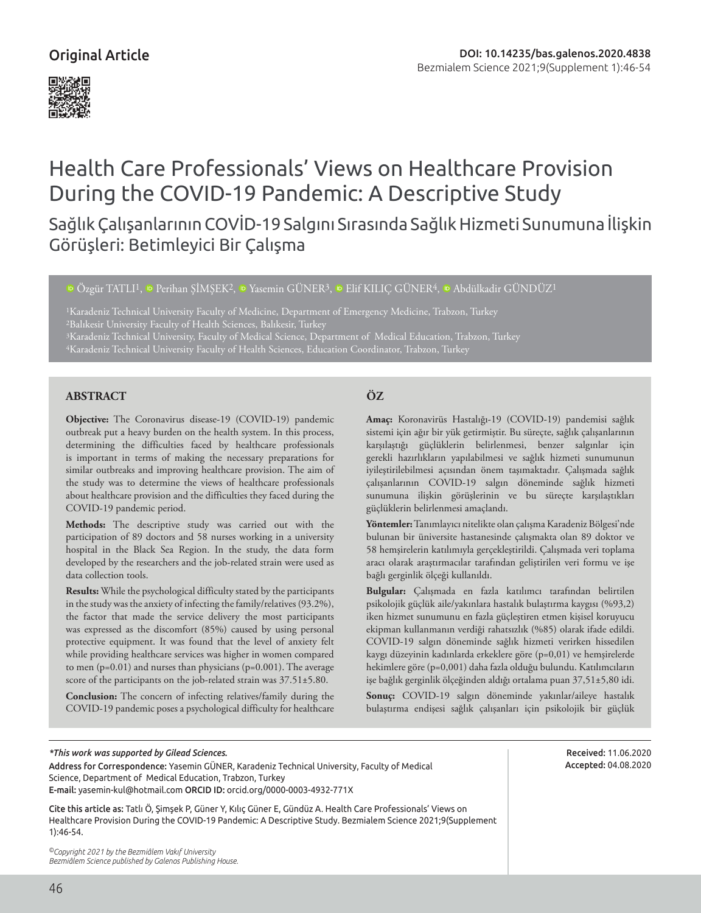# Original Article



# Health Care Professionals' Views on Healthcare Provision During the COVID-19 Pandemic: A Descriptive Study

Sağlık Çalışanlarının COVİD-19 Salgını Sırasında Sağlık Hizmeti Sunumuna İlişkin Görüşleri: Betimleyici Bir Çalışma

<sup>ID</sup>Özgür TATLI<sup>1</sup>, <sup>ID</sup> [P](https://orcid.org/)erihan SİMSEK<sup>2</sup>, <sup>ID</sup> Yasemin GÜNER<sup>3</sup>, ID [E](https://orcid.org/0000-0001-6251-4910)lif KILIC GÜNER<sup>4</sup>, ID Abdülkadir GÜNDÜZ<sup>1</sup>

<sup>1</sup>Karadeniz Technical University Faculty of Medicine, Department of Emergency Medicine, Trabzon, Turkey

<sup>3</sup>Karadeniz Technical University, Faculty of Medical Science, Department of Medical Education, Trabzon, Turkey

### **ABSTRACT ÖZ**

**Objective:** The Coronavirus disease-19 (COVID-19) pandemic outbreak put a heavy burden on the health system. In this process, determining the difficulties faced by healthcare professionals is important in terms of making the necessary preparations for similar outbreaks and improving healthcare provision. The aim of the study was to determine the views of healthcare professionals about healthcare provision and the difficulties they faced during the COVID-19 pandemic period.

**Methods:** The descriptive study was carried out with the participation of 89 doctors and 58 nurses working in a university hospital in the Black Sea Region. In the study, the data form developed by the researchers and the job-related strain were used as data collection tools.

**Results:** While the psychological difficulty stated by the participants in the study was the anxiety of infecting the family/relatives (93.2%), the factor that made the service delivery the most participants was expressed as the discomfort (85%) caused by using personal protective equipment. It was found that the level of anxiety felt while providing healthcare services was higher in women compared to men (p=0.01) and nurses than physicians (p=0.001). The average score of the participants on the job-related strain was 37.51±5.80.

**Conclusion:** The concern of infecting relatives/family during the COVID-19 pandemic poses a psychological difficulty for healthcare

**Amaç:** Koronavirüs Hastalığı-19 (COVID-19) pandemisi sağlık sistemi için ağır bir yük getirmiştir. Bu süreçte, sağlık çalışanlarının karşılaştığı güçlüklerin belirlenmesi, benzer salgınlar için gerekli hazırlıkların yapılabilmesi ve sağlık hizmeti sunumunun iyileştirilebilmesi açısından önem taşımaktadır. Çalışmada sağlık çalışanlarının COVID-19 salgın döneminde sağlık hizmeti sunumuna ilişkin görüşlerinin ve bu süreçte karşılaştıkları güçlüklerin belirlenmesi amaçlandı.

**Yöntemler:** Tanımlayıcı nitelikte olan çalışma Karadeniz Bölgesi'nde bulunan bir üniversite hastanesinde çalışmakta olan 89 doktor ve 58 hemşirelerin katılımıyla gerçekleştirildi. Çalışmada veri toplama aracı olarak araştırmacılar tarafından geliştirilen veri formu ve işe bağlı gerginlik ölçeği kullanıldı.

**Bulgular:** Çalışmada en fazla katılımcı tarafından belirtilen psikolojik güçlük aile/yakınlara hastalık bulaştırma kaygısı (%93,2) iken hizmet sunumunu en fazla güçleştiren etmen kişisel koruyucu ekipman kullanmanın verdiği rahatsızlık (%85) olarak ifade edildi. COVID-19 salgın döneminde sağlık hizmeti verirken hissedilen kaygı düzeyinin kadınlarda erkeklere göre (p=0,01) ve hemşirelerde hekimlere göre (p=0,001) daha fazla olduğu bulundu. Katılımcıların işe bağlık gerginlik ölçeğinden aldığı ortalama puan 37,51±5,80 idi.

**Sonuç:** COVID-19 salgın döneminde yakınlar/aileye hastalık bulaştırma endişesi sağlık çalışanları için psikolojik bir güçlük

## *\*This work was supported by Gilead Sciences.*

Address for Correspondence: Yasemin GÜNER, Karadeniz Technical University, Faculty of Medical Science, Department of Medical Education, Trabzon, Turkey E-mail: yasemin-kul@hotmail.com ORCID ID: orcid.org/0000-0003-4932-771X

Cite this article as: Tatlı Ö, Şimşek P, Güner Y, Kılıç Güner E, Gündüz A. Health Care Professionals' Views on Healthcare Provision During the COVID-19 Pandemic: A Descriptive Study. Bezmialem Science 2021;9(Supplement 1):46-54.

*©Copyright 2021 by the Bezmiâlem Vakıf University Bezmiâlem Science published by Galenos Publishing House.*

Received: 11.06.2020 Accepted: 04.08.2020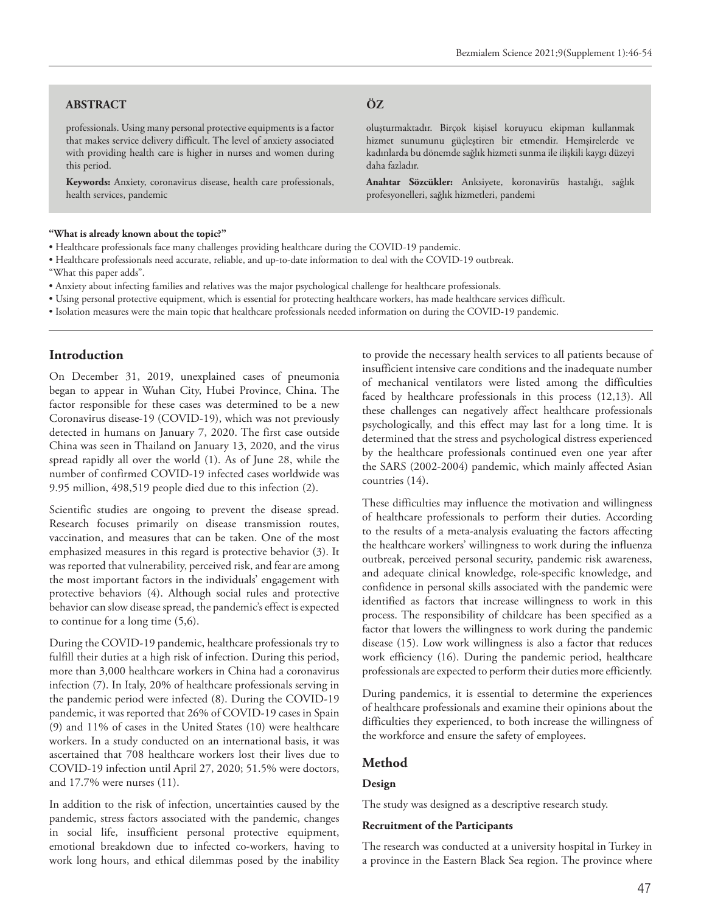#### **ABSTRACT ÖZ**

professionals. Using many personal protective equipments is a factor that makes service delivery difficult. The level of anxiety associated with providing health care is higher in nurses and women during this period.

**Keywords:** Anxiety, coronavirus disease, health care professionals, health services, pandemic

oluşturmaktadır. Birçok kişisel koruyucu ekipman kullanmak hizmet sunumunu güçleştiren bir etmendir. Hemşirelerde ve kadınlarda bu dönemde sağlık hizmeti sunma ile ilişkili kaygı düzeyi daha fazladır.

**Anahtar Sözcükler:** Anksiyete, koronavirüs hastalığı, sağlık profesyonelleri, sağlık hizmetleri, pandemi

#### **"What is already known about the topic?"**

- Healthcare professionals face many challenges providing healthcare during the COVID-19 pandemic.
- Healthcare professionals need accurate, reliable, and up-to-date information to deal with the COVID-19 outbreak.
- "What this paper adds".
- Anxiety about infecting families and relatives was the major psychological challenge for healthcare professionals.
- Using personal protective equipment, which is essential for protecting healthcare workers, has made healthcare services difficult.
- Isolation measures were the main topic that healthcare professionals needed information on during the COVID-19 pandemic.

#### **Introduction**

On December 31, 2019, unexplained cases of pneumonia began to appear in Wuhan City, Hubei Province, China. The factor responsible for these cases was determined to be a new Coronavirus disease-19 (COVID-19), which was not previously detected in humans on January 7, 2020. The first case outside China was seen in Thailand on January 13, 2020, and the virus spread rapidly all over the world (1). As of June 28, while the number of confirmed COVID-19 infected cases worldwide was 9.95 million, 498,519 people died due to this infection (2).

Scientific studies are ongoing to prevent the disease spread. Research focuses primarily on disease transmission routes, vaccination, and measures that can be taken. One of the most emphasized measures in this regard is protective behavior (3). It was reported that vulnerability, perceived risk, and fear are among the most important factors in the individuals' engagement with protective behaviors (4). Although social rules and protective behavior can slow disease spread, the pandemic's effect is expected to continue for a long time (5,6).

During the COVID-19 pandemic, healthcare professionals try to fulfill their duties at a high risk of infection. During this period, more than 3,000 healthcare workers in China had a coronavirus infection (7). In Italy, 20% of healthcare professionals serving in the pandemic period were infected (8). During the COVID-19 pandemic, it was reported that 26% of COVID-19 cases in Spain (9) and 11% of cases in the United States (10) were healthcare workers. In a study conducted on an international basis, it was ascertained that 708 healthcare workers lost their lives due to COVID-19 infection until April 27, 2020; 51.5% were doctors, and 17.7% were nurses (11).

In addition to the risk of infection, uncertainties caused by the pandemic, stress factors associated with the pandemic, changes in social life, insufficient personal protective equipment, emotional breakdown due to infected co-workers, having to work long hours, and ethical dilemmas posed by the inability

to provide the necessary health services to all patients because of insufficient intensive care conditions and the inadequate number of mechanical ventilators were listed among the difficulties faced by healthcare professionals in this process (12,13). All these challenges can negatively affect healthcare professionals psychologically, and this effect may last for a long time. It is determined that the stress and psychological distress experienced by the healthcare professionals continued even one year after the SARS (2002-2004) pandemic, which mainly affected Asian countries (14).

These difficulties may influence the motivation and willingness of healthcare professionals to perform their duties. According to the results of a meta-analysis evaluating the factors affecting the healthcare workers' willingness to work during the influenza outbreak, perceived personal security, pandemic risk awareness, and adequate clinical knowledge, role-specific knowledge, and confidence in personal skills associated with the pandemic were identified as factors that increase willingness to work in this process. The responsibility of childcare has been specified as a factor that lowers the willingness to work during the pandemic disease (15). Low work willingness is also a factor that reduces work efficiency (16). During the pandemic period, healthcare professionals are expected to perform their duties more efficiently.

During pandemics, it is essential to determine the experiences of healthcare professionals and examine their opinions about the difficulties they experienced, to both increase the willingness of the workforce and ensure the safety of employees.

#### **Method**

#### **Design**

The study was designed as a descriptive research study.

#### **Recruitment of the Participants**

The research was conducted at a university hospital in Turkey in a province in the Eastern Black Sea region. The province where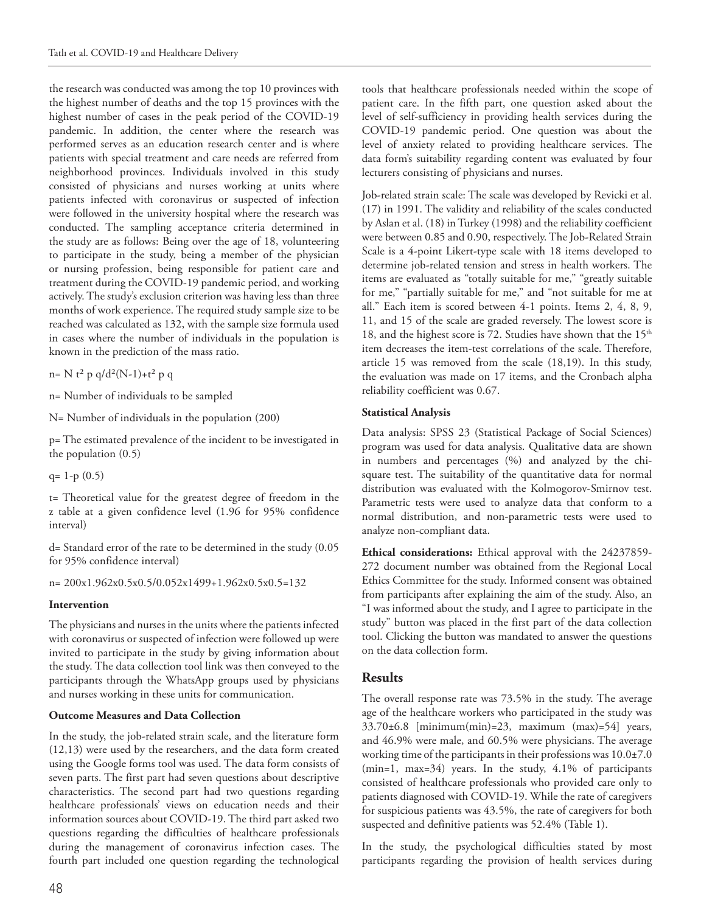the research was conducted was among the top 10 provinces with the highest number of deaths and the top 15 provinces with the highest number of cases in the peak period of the COVID-19 pandemic. In addition, the center where the research was performed serves as an education research center and is where patients with special treatment and care needs are referred from neighborhood provinces. Individuals involved in this study consisted of physicians and nurses working at units where patients infected with coronavirus or suspected of infection were followed in the university hospital where the research was conducted. The sampling acceptance criteria determined in the study are as follows: Being over the age of 18, volunteering to participate in the study, being a member of the physician or nursing profession, being responsible for patient care and treatment during the COVID-19 pandemic period, and working actively. The study's exclusion criterion was having less than three months of work experience. The required study sample size to be reached was calculated as 132, with the sample size formula used in cases where the number of individuals in the population is known in the prediction of the mass ratio.

n= N t<sup>2</sup> p q/d<sup>2</sup>(N-1)+t<sup>2</sup> p q

n= Number of individuals to be sampled

N= Number of individuals in the population (200)

p= The estimated prevalence of the incident to be investigated in the population (0.5)

 $q= 1-p(0.5)$ 

t= Theoretical value for the greatest degree of freedom in the z table at a given confidence level (1.96 for 95% confidence interval)

d= Standard error of the rate to be determined in the study (0.05 for 95% confidence interval)

n= 200x1.962x0.5x0.5/0.052x1499+1.962x0.5x0.5=132

#### **Intervention**

The physicians and nurses in the units where the patients infected with coronavirus or suspected of infection were followed up were invited to participate in the study by giving information about the study. The data collection tool link was then conveyed to the participants through the WhatsApp groups used by physicians and nurses working in these units for communication.

#### **Outcome Measures and Data Collection**

In the study, the job-related strain scale, and the literature form (12,13) were used by the researchers, and the data form created using the Google forms tool was used. The data form consists of seven parts. The first part had seven questions about descriptive characteristics. The second part had two questions regarding healthcare professionals' views on education needs and their information sources about COVID-19. The third part asked two questions regarding the difficulties of healthcare professionals during the management of coronavirus infection cases. The fourth part included one question regarding the technological

tools that healthcare professionals needed within the scope of patient care. In the fifth part, one question asked about the level of self-sufficiency in providing health services during the COVID-19 pandemic period. One question was about the level of anxiety related to providing healthcare services. The data form's suitability regarding content was evaluated by four lecturers consisting of physicians and nurses.

Job-related strain scale: The scale was developed by Revicki et al. (17) in 1991. The validity and reliability of the scales conducted by Aslan et al. (18) in Turkey (1998) and the reliability coefficient were between 0.85 and 0.90, respectively. The Job-Related Strain Scale is a 4-point Likert-type scale with 18 items developed to determine job-related tension and stress in health workers. The items are evaluated as "totally suitable for me," "greatly suitable for me," "partially suitable for me," and "not suitable for me at all." Each item is scored between 4-1 points. Items 2, 4, 8, 9, 11, and 15 of the scale are graded reversely. The lowest score is 18, and the highest score is 72. Studies have shown that the 15<sup>th</sup> item decreases the item-test correlations of the scale. Therefore, article 15 was removed from the scale (18,19). In this study, the evaluation was made on 17 items, and the Cronbach alpha reliability coefficient was 0.67.

#### **Statistical Analysis**

Data analysis: SPSS 23 (Statistical Package of Social Sciences) program was used for data analysis. Qualitative data are shown in numbers and percentages (%) and analyzed by the chisquare test. The suitability of the quantitative data for normal distribution was evaluated with the Kolmogorov-Smirnov test. Parametric tests were used to analyze data that conform to a normal distribution, and non-parametric tests were used to analyze non-compliant data.

**Ethical considerations:** Ethical approval with the 24237859- 272 document number was obtained from the Regional Local Ethics Committee for the study. Informed consent was obtained from participants after explaining the aim of the study. Also, an "I was informed about the study, and I agree to participate in the study" button was placed in the first part of the data collection tool. Clicking the button was mandated to answer the questions on the data collection form.

### **Results**

The overall response rate was 73.5% in the study. The average age of the healthcare workers who participated in the study was  $33.70\pm6.8$  [minimum(min)=23, maximum (max)=54] years, and 46.9% were male, and 60.5% were physicians. The average working time of the participants in their professions was 10.0±7.0 (min=1, max=34) years. In the study, 4.1% of participants consisted of healthcare professionals who provided care only to patients diagnosed with COVID-19. While the rate of caregivers for suspicious patients was 43.5%, the rate of caregivers for both suspected and definitive patients was 52.4% (Table 1).

In the study, the psychological difficulties stated by most participants regarding the provision of health services during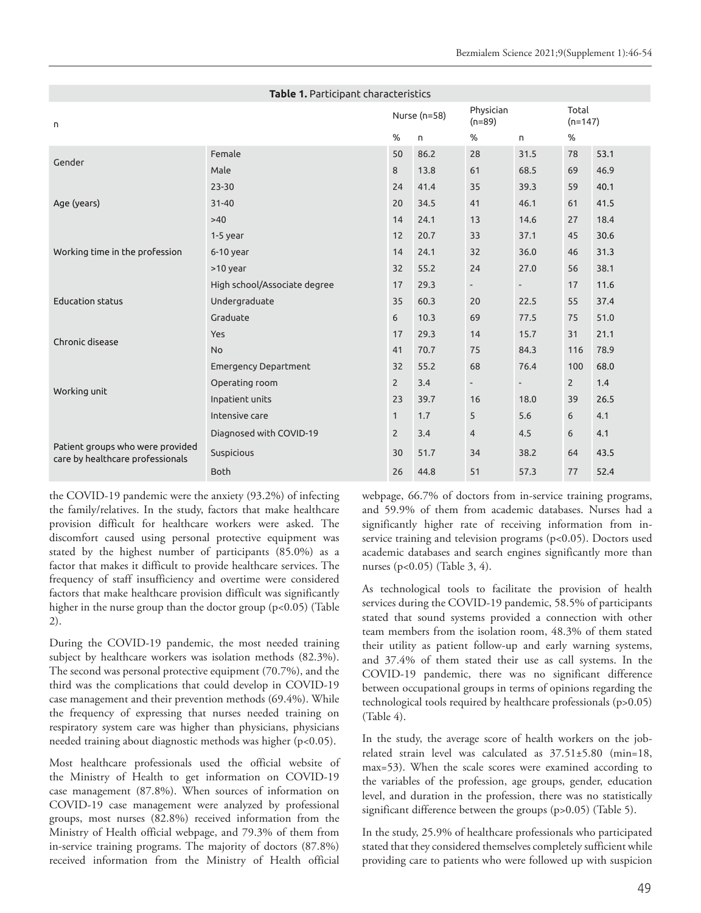| Table 1. Participant characteristics                                 |                              |                |      |                       |                          |                    |      |  |
|----------------------------------------------------------------------|------------------------------|----------------|------|-----------------------|--------------------------|--------------------|------|--|
| n                                                                    |                              | Nurse (n=58)   |      | Physician<br>$(n=89)$ |                          | Total<br>$(n=147)$ |      |  |
|                                                                      |                              | %              | n.   | %                     | n.                       | %                  |      |  |
| Gender                                                               | Female                       | 50             | 86.2 | 28                    | 31.5                     | 78                 | 53.1 |  |
|                                                                      | Male                         | 8              | 13.8 | 61                    | 68.5                     | 69                 | 46.9 |  |
|                                                                      | $23 - 30$                    | 24             | 41.4 | 35                    | 39.3                     | 59                 | 40.1 |  |
| Age (years)                                                          | $31 - 40$                    | 20             | 34.5 | 41                    | 46.1                     | 61                 | 41.5 |  |
|                                                                      | $>40$                        | 14             | 24.1 | 13                    | 14.6                     | 27                 | 18.4 |  |
| Working time in the profession                                       | $1-5$ year                   | 12             | 20.7 | 33                    | 37.1                     | 45                 | 30.6 |  |
|                                                                      | $6-10$ year                  | 14             | 24.1 | 32                    | 36.0                     | 46                 | 31.3 |  |
|                                                                      | >10 year                     | 32             | 55.2 | 24                    | 27.0                     | 56                 | 38.1 |  |
| <b>Education status</b>                                              | High school/Associate degree | 17             | 29.3 | $\sim$                | $\overline{\phantom{a}}$ | 17                 | 11.6 |  |
|                                                                      | Undergraduate                | 35             | 60.3 | 20                    | 22.5                     | 55                 | 37.4 |  |
|                                                                      | Graduate                     | 6              | 10.3 | 69                    | 77.5                     | 75                 | 51.0 |  |
| Chronic disease                                                      | Yes                          | 17             | 29.3 | 14                    | 15.7                     | 31                 | 21.1 |  |
|                                                                      | <b>No</b>                    | 41             | 70.7 | 75                    | 84.3                     | 116                | 78.9 |  |
| Working unit                                                         | <b>Emergency Department</b>  | 32             | 55.2 | 68                    | 76.4                     | 100                | 68.0 |  |
|                                                                      | Operating room               | $\overline{2}$ | 3.4  | $\blacksquare$        | $\overline{\phantom{a}}$ | $\overline{2}$     | 1.4  |  |
|                                                                      | Inpatient units              | 23             | 39.7 | 16                    | 18.0                     | 39                 | 26.5 |  |
|                                                                      | Intensive care               | $\mathbf{1}$   | 1.7  | 5                     | 5.6                      | 6                  | 4.1  |  |
| Patient groups who were provided<br>care by healthcare professionals | Diagnosed with COVID-19      | $\overline{2}$ | 3.4  | $\overline{4}$        | 4.5                      | 6                  | 4.1  |  |
|                                                                      | Suspicious                   | 30             | 51.7 | 34                    | 38.2                     | 64                 | 43.5 |  |
|                                                                      | <b>Both</b>                  | 26             | 44.8 | 51                    | 57.3                     | 77                 | 52.4 |  |

the COVID-19 pandemic were the anxiety (93.2%) of infecting the family/relatives. In the study, factors that make healthcare provision difficult for healthcare workers were asked. The discomfort caused using personal protective equipment was stated by the highest number of participants (85.0%) as a factor that makes it difficult to provide healthcare services. The frequency of staff insufficiency and overtime were considered factors that make healthcare provision difficult was significantly higher in the nurse group than the doctor group (p<0.05) (Table 2).

During the COVID-19 pandemic, the most needed training subject by healthcare workers was isolation methods (82.3%). The second was personal protective equipment (70.7%), and the third was the complications that could develop in COVID-19 case management and their prevention methods (69.4%). While the frequency of expressing that nurses needed training on respiratory system care was higher than physicians, physicians needed training about diagnostic methods was higher (p<0.05).

Most healthcare professionals used the official website of the Ministry of Health to get information on COVID-19 case management (87.8%). When sources of information on COVID-19 case management were analyzed by professional groups, most nurses (82.8%) received information from the Ministry of Health official webpage, and 79.3% of them from in-service training programs. The majority of doctors (87.8%) received information from the Ministry of Health official

webpage, 66.7% of doctors from in-service training programs, and 59.9% of them from academic databases. Nurses had a significantly higher rate of receiving information from inservice training and television programs (p<0.05). Doctors used academic databases and search engines significantly more than nurses (p<0.05) (Table 3, 4).

As technological tools to facilitate the provision of health services during the COVID-19 pandemic, 58.5% of participants stated that sound systems provided a connection with other team members from the isolation room, 48.3% of them stated their utility as patient follow-up and early warning systems, and 37.4% of them stated their use as call systems. In the COVID-19 pandemic, there was no significant difference between occupational groups in terms of opinions regarding the technological tools required by healthcare professionals (p>0.05) (Table 4).

In the study, the average score of health workers on the jobrelated strain level was calculated as 37.51±5.80 (min=18, max=53). When the scale scores were examined according to the variables of the profession, age groups, gender, education level, and duration in the profession, there was no statistically significant difference between the groups (p>0.05) (Table 5).

In the study, 25.9% of healthcare professionals who participated stated that they considered themselves completely sufficient while providing care to patients who were followed up with suspicion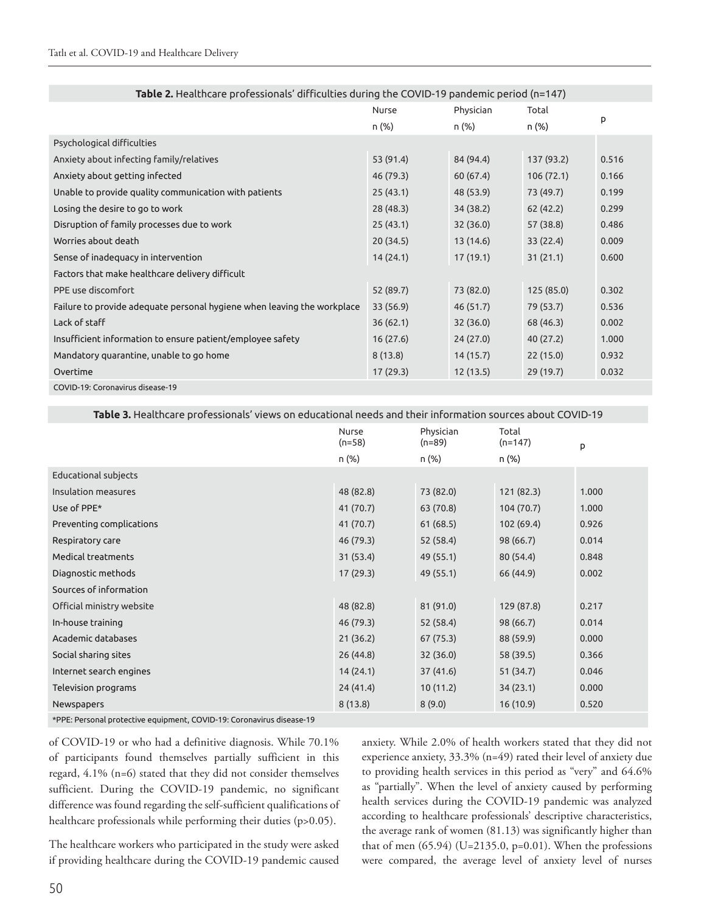| Table 2. Healthcare professionals' difficulties during the COVID-19 pandemic period (n=147) |           |           |            |       |  |  |
|---------------------------------------------------------------------------------------------|-----------|-----------|------------|-------|--|--|
|                                                                                             | Nurse     | Physician | Total      |       |  |  |
|                                                                                             | n (%)     | n (%)     | n (%)      | p     |  |  |
| Psychological difficulties                                                                  |           |           |            |       |  |  |
| Anxiety about infecting family/relatives                                                    | 53 (91.4) | 84 (94.4) | 137 (93.2) | 0.516 |  |  |
| Anxiety about getting infected                                                              | 46 (79.3) | 60(67.4)  | 106(72.1)  | 0.166 |  |  |
| Unable to provide quality communication with patients                                       | 25(43.1)  | 48 (53.9) | 73 (49.7)  | 0.199 |  |  |
| Losing the desire to go to work                                                             | 28(48.3)  | 34 (38.2) | 62 (42.2)  | 0.299 |  |  |
| Disruption of family processes due to work                                                  | 25(43.1)  | 32(36.0)  | 57 (38.8)  | 0.486 |  |  |
| Worries about death                                                                         | 20(34.5)  | 13(14.6)  | 33(22.4)   | 0.009 |  |  |
| Sense of inadequacy in intervention                                                         | 14(24.1)  | 17(19.1)  | 31(21.1)   | 0.600 |  |  |
| Factors that make healthcare delivery difficult                                             |           |           |            |       |  |  |
| PPE use discomfort                                                                          | 52 (89.7) | 73 (82.0) | 125 (85.0) | 0.302 |  |  |
| Failure to provide adequate personal hygiene when leaving the workplace                     | 33 (56.9) | 46(51.7)  | 79 (53.7)  | 0.536 |  |  |
| Lack of staff                                                                               | 36(62.1)  | 32(36.0)  | 68 (46.3)  | 0.002 |  |  |
| Insufficient information to ensure patient/employee safety                                  | 16(27.6)  | 24(27.0)  | 40 (27.2)  | 1.000 |  |  |
| Mandatory quarantine, unable to go home                                                     | 8(13.8)   | 14(15.7)  | 22(15.0)   | 0.932 |  |  |
| Overtime                                                                                    | 17 (29.3) | 12(13.5)  | 29 (19.7)  | 0.032 |  |  |
| COVID-19: Coronavirus disease-19                                                            |           |           |            |       |  |  |

**Table 3.** Healthcare professionals' views on educational needs and their information sources about COVID-19

|                             | Nurse<br>$(n=58)$ | Physician<br>$(n=89)$ | Total<br>$(n=147)$ | p     |
|-----------------------------|-------------------|-----------------------|--------------------|-------|
|                             | n (%)             | n (%)                 | n (%)              |       |
| <b>Educational subjects</b> |                   |                       |                    |       |
| Insulation measures         | 48 (82.8)         | 73 (82.0)             | 121 (82.3)         | 1.000 |
| Use of PPE*                 | 41 (70.7)         | 63 (70.8)             | 104(70.7)          | 1.000 |
| Preventing complications    | 41 (70.7)         | 61(68.5)              | 102 (69.4)         | 0.926 |
| Respiratory care            | 46 (79.3)         | 52 (58.4)             | 98 (66.7)          | 0.014 |
| Medical treatments          | 31(53.4)          | 49 (55.1)             | 80 (54.4)          | 0.848 |
| Diagnostic methods          | 17 (29.3)         | 49 (55.1)             | 66 (44.9)          | 0.002 |
| Sources of information      |                   |                       |                    |       |
| Official ministry website   | 48 (82.8)         | 81 (91.0)             | 129 (87.8)         | 0.217 |
| In-house training           | 46 (79.3)         | 52 (58.4)             | 98 (66.7)          | 0.014 |
| Academic databases          | 21(36.2)          | 67 (75.3)             | 88 (59.9)          | 0.000 |
| Social sharing sites        | 26(44.8)          | 32(36.0)              | 58 (39.5)          | 0.366 |
| Internet search engines     | 14(24.1)          | 37(41.6)              | 51(34.7)           | 0.046 |
| Television programs         | 24(41.4)          | 10(11.2)              | 34(23.1)           | 0.000 |
| Newspapers                  | 8(13.8)           | 8(9.0)                | 16(10.9)           | 0.520 |

\*PPE: Personal protective equipment, COVID-19: Coronavirus disease-19

of COVID-19 or who had a definitive diagnosis. While 70.1% of participants found themselves partially sufficient in this regard, 4.1% (n=6) stated that they did not consider themselves sufficient. During the COVID-19 pandemic, no significant difference was found regarding the self-sufficient qualifications of healthcare professionals while performing their duties (p>0.05).

The healthcare workers who participated in the study were asked if providing healthcare during the COVID-19 pandemic caused

anxiety. While 2.0% of health workers stated that they did not experience anxiety, 33.3% (n=49) rated their level of anxiety due to providing health services in this period as "very" and 64.6% as "partially". When the level of anxiety caused by performing health services during the COVID-19 pandemic was analyzed according to healthcare professionals' descriptive characteristics, the average rank of women (81.13) was significantly higher than that of men (65.94) (U=2135.0, p=0.01). When the professions were compared, the average level of anxiety level of nurses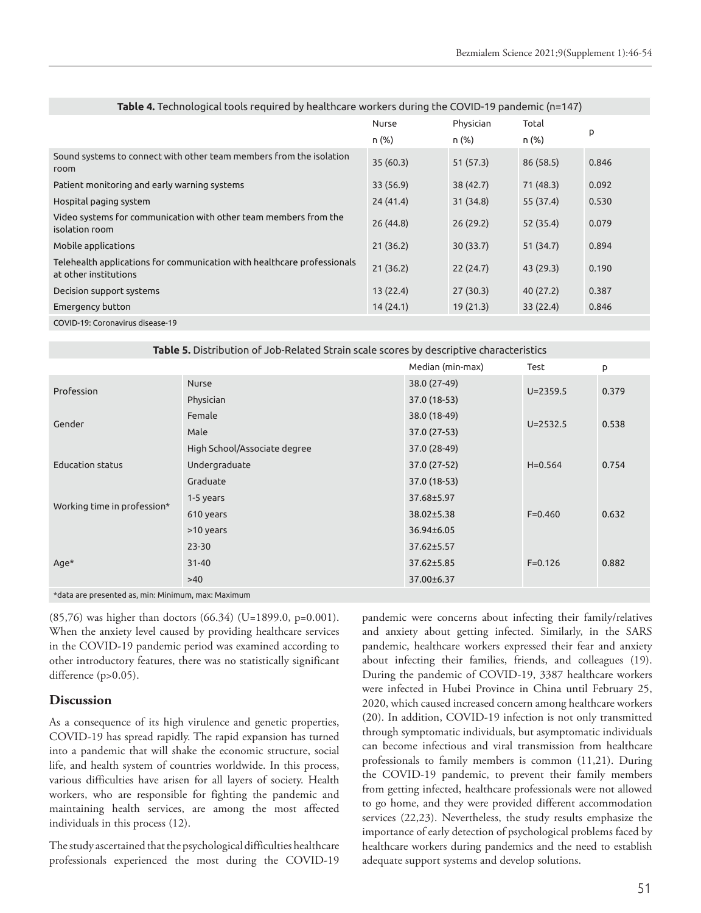| <b>10010</b> Transportant contract to by including to be additional contract to the TD pullocities (i.e. 1717) |          |           |           |       |
|----------------------------------------------------------------------------------------------------------------|----------|-----------|-----------|-------|
|                                                                                                                | Nurse    | Physician | Total     |       |
|                                                                                                                | n (%)    | n (%)     | n (%)     | p     |
| Sound systems to connect with other team members from the isolation<br>room                                    | 35(60.3) | 51(57.3)  | 86 (58.5) | 0.846 |
| Patient monitoring and early warning systems                                                                   | 33(56.9) | 38(42.7)  | 71(48.3)  | 0.092 |
| Hospital paging system                                                                                         | 24(41.4) | 31(34.8)  | 55 (37.4) | 0.530 |
| Video systems for communication with other team members from the<br>isolation room                             | 26(44.8) | 26(29.2)  | 52 (35.4) | 0.079 |
| Mobile applications                                                                                            | 21(36.2) | 30(33.7)  | 51(34.7)  | 0.894 |
| Telehealth applications for communication with healthcare professionals<br>at other institutions               | 21(36.2) | 22(24.7)  | 43(29.3)  | 0.190 |
| Decision support systems                                                                                       | 13(22.4) | 27(30.3)  | 40(27.2)  | 0.387 |
| Emergency button                                                                                               | 14(24.1) | 19(21.3)  | 33(22.4)  | 0.846 |
| COVID-19: Coronavirus disease-19                                                                               |          |           |           |       |

| Table 4. Technological tools required by healthcare workers during the COVID-19 pandemic (n=147) |  |  |  |  |  |  |  |  |
|--------------------------------------------------------------------------------------------------|--|--|--|--|--|--|--|--|
|--------------------------------------------------------------------------------------------------|--|--|--|--|--|--|--|--|

**Table 5.** Distribution of Job-Related Strain scale scores by descriptive characteristics

|                             |                              | Median (min-max) | Test         | p     |
|-----------------------------|------------------------------|------------------|--------------|-------|
| Profession                  | <b>Nurse</b>                 | 38.0 (27-49)     |              |       |
|                             | Physician                    | 37.0 (18-53)     | $U = 2359.5$ | 0.379 |
| Gender                      | Female                       | 38.0 (18-49)     |              | 0.538 |
|                             | Male                         | 37.0 (27-53)     | $U = 2532.5$ |       |
|                             | High School/Associate degree | 37.0 (28-49)     |              |       |
| <b>Education status</b>     | Undergraduate                | 37.0 (27-52)     | $H = 0.564$  | 0.754 |
|                             | Graduate                     | 37.0 (18-53)     |              |       |
| Working time in profession* | 1-5 years                    | 37.68±5.97       |              |       |
|                             | 610 years                    | 38.02±5.38       | $F = 0.460$  | 0.632 |
|                             | >10 years                    | 36.94±6.05       |              |       |
|                             | $23 - 30$                    | 37.62±5.57       |              |       |
| $Age*$                      | $31 - 40$                    | 37.62±5.85       | $F = 0.126$  | 0.882 |
|                             | $>40$                        | 37.00±6.37       |              |       |
|                             |                              |                  |              |       |

\*data are presented as, min: Minimum, max: Maximum

(85,76) was higher than doctors (66.34) (U=1899.0, p=0.001). When the anxiety level caused by providing healthcare services in the COVID-19 pandemic period was examined according to other introductory features, there was no statistically significant difference (p>0.05).

#### **Discussion**

As a consequence of its high virulence and genetic properties, COVID-19 has spread rapidly. The rapid expansion has turned into a pandemic that will shake the economic structure, social life, and health system of countries worldwide. In this process, various difficulties have arisen for all layers of society. Health workers, who are responsible for fighting the pandemic and maintaining health services, are among the most affected individuals in this process (12).

The study ascertained that the psychological difficulties healthcare professionals experienced the most during the COVID-19

pandemic were concerns about infecting their family/relatives and anxiety about getting infected. Similarly, in the SARS pandemic, healthcare workers expressed their fear and anxiety about infecting their families, friends, and colleagues (19). During the pandemic of COVID-19, 3387 healthcare workers were infected in Hubei Province in China until February 25, 2020, which caused increased concern among healthcare workers (20). In addition, COVID-19 infection is not only transmitted through symptomatic individuals, but asymptomatic individuals can become infectious and viral transmission from healthcare professionals to family members is common (11,21). During the COVID-19 pandemic, to prevent their family members from getting infected, healthcare professionals were not allowed to go home, and they were provided different accommodation services (22,23). Nevertheless, the study results emphasize the importance of early detection of psychological problems faced by healthcare workers during pandemics and the need to establish adequate support systems and develop solutions.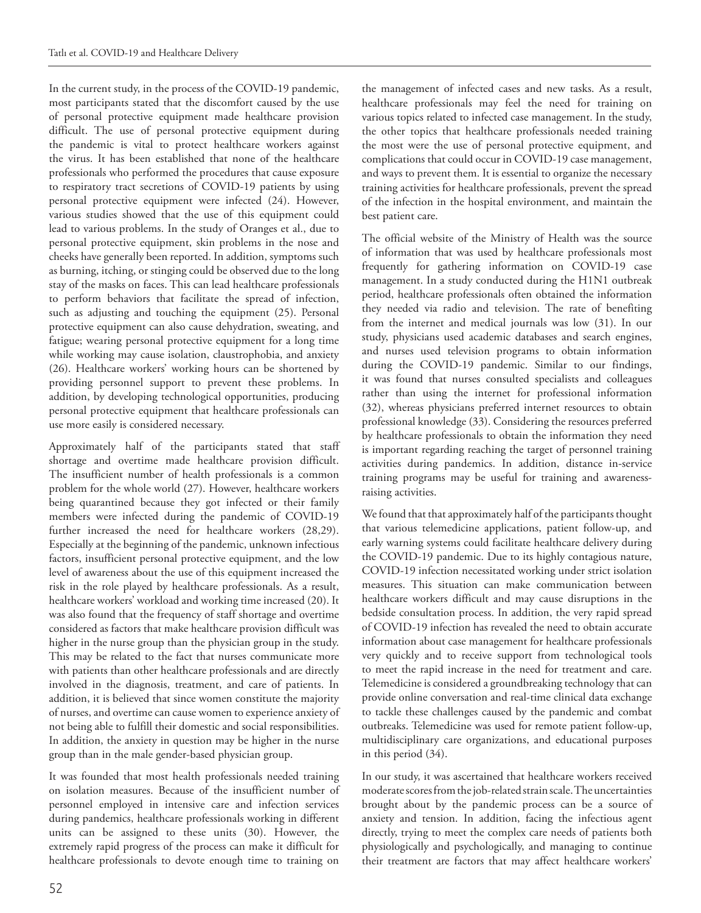In the current study, in the process of the COVID-19 pandemic, most participants stated that the discomfort caused by the use of personal protective equipment made healthcare provision difficult. The use of personal protective equipment during the pandemic is vital to protect healthcare workers against the virus. It has been established that none of the healthcare professionals who performed the procedures that cause exposure to respiratory tract secretions of COVID-19 patients by using personal protective equipment were infected (24). However, various studies showed that the use of this equipment could lead to various problems. In the study of Oranges et al., due to personal protective equipment, skin problems in the nose and cheeks have generally been reported. In addition, symptoms such as burning, itching, or stinging could be observed due to the long stay of the masks on faces. This can lead healthcare professionals to perform behaviors that facilitate the spread of infection, such as adjusting and touching the equipment (25). Personal protective equipment can also cause dehydration, sweating, and fatigue; wearing personal protective equipment for a long time while working may cause isolation, claustrophobia, and anxiety (26). Healthcare workers' working hours can be shortened by providing personnel support to prevent these problems. In addition, by developing technological opportunities, producing personal protective equipment that healthcare professionals can use more easily is considered necessary.

Approximately half of the participants stated that staff shortage and overtime made healthcare provision difficult. The insufficient number of health professionals is a common problem for the whole world (27). However, healthcare workers being quarantined because they got infected or their family members were infected during the pandemic of COVID-19 further increased the need for healthcare workers (28,29). Especially at the beginning of the pandemic, unknown infectious factors, insufficient personal protective equipment, and the low level of awareness about the use of this equipment increased the risk in the role played by healthcare professionals. As a result, healthcare workers' workload and working time increased (20). It was also found that the frequency of staff shortage and overtime considered as factors that make healthcare provision difficult was higher in the nurse group than the physician group in the study. This may be related to the fact that nurses communicate more with patients than other healthcare professionals and are directly involved in the diagnosis, treatment, and care of patients. In addition, it is believed that since women constitute the majority of nurses, and overtime can cause women to experience anxiety of not being able to fulfill their domestic and social responsibilities. In addition, the anxiety in question may be higher in the nurse group than in the male gender-based physician group.

It was founded that most health professionals needed training on isolation measures. Because of the insufficient number of personnel employed in intensive care and infection services during pandemics, healthcare professionals working in different units can be assigned to these units (30). However, the extremely rapid progress of the process can make it difficult for healthcare professionals to devote enough time to training on

the management of infected cases and new tasks. As a result, healthcare professionals may feel the need for training on various topics related to infected case management. In the study, the other topics that healthcare professionals needed training the most were the use of personal protective equipment, and complications that could occur in COVID-19 case management, and ways to prevent them. It is essential to organize the necessary training activities for healthcare professionals, prevent the spread of the infection in the hospital environment, and maintain the best patient care.

The official website of the Ministry of Health was the source of information that was used by healthcare professionals most frequently for gathering information on COVID-19 case management. In a study conducted during the H1N1 outbreak period, healthcare professionals often obtained the information they needed via radio and television. The rate of benefiting from the internet and medical journals was low (31). In our study, physicians used academic databases and search engines, and nurses used television programs to obtain information during the COVID-19 pandemic. Similar to our findings, it was found that nurses consulted specialists and colleagues rather than using the internet for professional information (32), whereas physicians preferred internet resources to obtain professional knowledge (33). Considering the resources preferred by healthcare professionals to obtain the information they need is important regarding reaching the target of personnel training activities during pandemics. In addition, distance in-service training programs may be useful for training and awarenessraising activities.

We found that that approximately half of the participants thought that various telemedicine applications, patient follow-up, and early warning systems could facilitate healthcare delivery during the COVID-19 pandemic. Due to its highly contagious nature, COVID-19 infection necessitated working under strict isolation measures. This situation can make communication between healthcare workers difficult and may cause disruptions in the bedside consultation process. In addition, the very rapid spread of COVID-19 infection has revealed the need to obtain accurate information about case management for healthcare professionals very quickly and to receive support from technological tools to meet the rapid increase in the need for treatment and care. Telemedicine is considered a groundbreaking technology that can provide online conversation and real-time clinical data exchange to tackle these challenges caused by the pandemic and combat outbreaks. Telemedicine was used for remote patient follow-up, multidisciplinary care organizations, and educational purposes in this period (34).

In our study, it was ascertained that healthcare workers received moderate scores from the job-related strain scale. The uncertainties brought about by the pandemic process can be a source of anxiety and tension. In addition, facing the infectious agent directly, trying to meet the complex care needs of patients both physiologically and psychologically, and managing to continue their treatment are factors that may affect healthcare workers'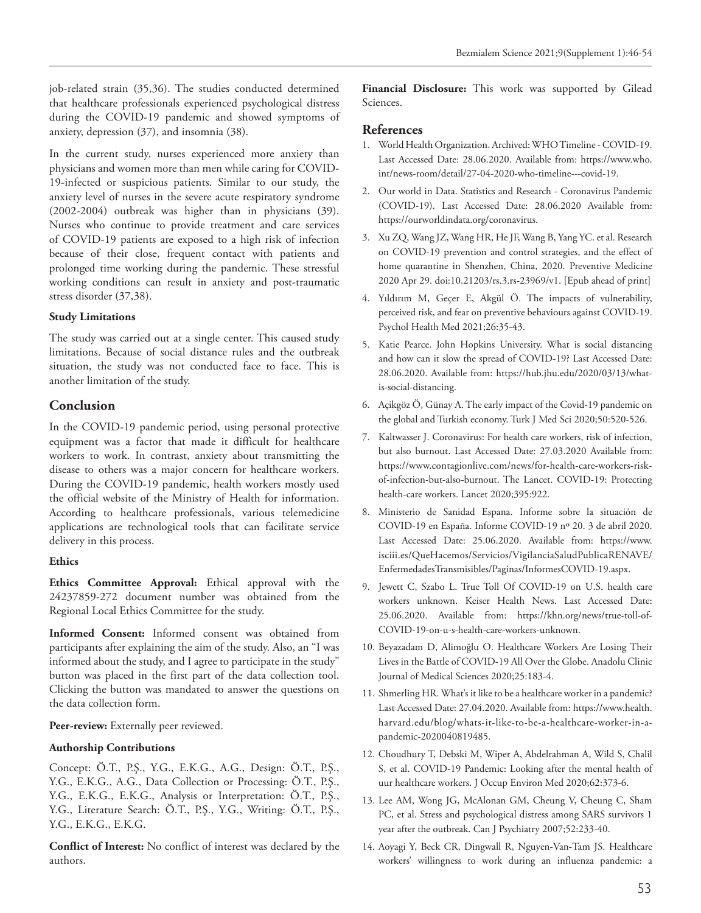job-related strain (35,36). The studies conducted determined that healthcare professionals experienced psychological distress during the COVID-19 pandemic and showed symptoms of anxiety, depression (37), and insomnia (38).

In the current study, nurses experienced more anxiety than physicians and women more than men while caring for COVID-19-infected or suspicious patients. Similar to our study, the anxiety level of nurses in the severe acute respiratory syndrome (2002-2004) outbreak was higher than in physicians (39). Nurses who continue to provide treatment and care services of COVID-19 patients are exposed to a high risk of infection because of their close, frequent contact with patients and prolonged time working during the pandemic. These stressful working conditions can result in anxiety and post-traumatic stress disorder (37,38).

#### **Study Limitations**

The study was carried out at a single center. This caused study limitations. Because of social distance rules and the outbreak situation, the study was not conducted face to face. This is another limitation of the study.

#### **Conclusion**

In the COVID-19 pandemic period, using personal protective equipment was a factor that made it difficult for healthcare workers to work. In contrast, anxiety about transmitting the disease to others was a major concern for healthcare workers. During the COVID-19 pandemic, health workers mostly used the official website of the Ministry of Health for information. According to healthcare professionals, various telemedicine applications are technological tools that can facilitate service delivery in this process.

#### **Ethics**

**Ethics Committee Approval:** Ethical approval with the 24237859-272 document number was obtained from the Regional Local Ethics Committee for the study.

**Informed Consent:** Informed consent was obtained from participants after explaining the aim of the study. Also, an "I was informed about the study, and I agree to participate in the study" button was placed in the first part of the data collection tool. Clicking the button was mandated to answer the questions on the data collection form.

Peer-review: Externally peer reviewed.

#### **Authorship Contributions**

Concept: Ö.T., P.Ş., Y.G., E.K.G., A.G., Design: Ö.T., P.Ş., Y.G., E.K.G., A.G., Data Collection or Processing: Ö.T., P.Ş., Y.G., E.K.G., E.K.G., Analysis or Interpretation: Ö.T., P.Ş., Y.G., Literature Search: Ö.T., P.Ş., Y.G., Writing: Ö.T., P.Ş., Y.G., E.K.G., E.K.G.

**Conflict of Interest:** No conflict of interest was declared by the authors.

**Financial Disclosure:** This work was supported by Gilead Sciences.

#### **References**

- 1. World Health Organization. Archived: WHO Timeline COVID-19. Last Accessed Date: 28.06.2020. Available from: https://www.who. int/news-room/detail/27-04-2020-who-timeline---covid-19.
- 2. Our world in Data. Statistics and Research Coronavirus Pandemic (COVID-19). Last Accessed Date: 28.06.2020 Available from: https://ourworldindata.org/coronavirus.
- 3. Xu ZQ, Wang JZ, Wang HR, He JF, Wang B, Yang YC. et al. Research on COVID-19 prevention and control strategies, and the effect of home quarantine in Shenzhen, China, 2020. Preventive Medicine 2020 Apr 29. doi:10.21203/rs.3.rs-23969/v1. [Epub ahead of print]
- 4. Yıldırım M, Geçer E, Akgül Ö. The impacts of vulnerability, perceived risk, and fear on preventive behaviours against COVID-19. Psychol Health Med 2021;26:35-43.
- 5. Katie Pearce. John Hopkins University. What is social distancing and how can it slow the spread of COVID-19? Last Accessed Date: 28.06.2020. Available from: https://hub.jhu.edu/2020/03/13/whatis-social-distancing.
- 6. Açikgöz Ö, Günay A. The early impact of the Covid-19 pandemic on the global and Turkish economy. Turk J Med Sci 2020;50:520-526.
- 7. Kaltwasser J. Coronavirus: For health care workers, risk of infection, but also burnout. Last Accessed Date: 27.03.2020 Available from: https://www.contagionlive.com/news/for-health-care-workers-riskof-infection-but-also-burnout. The Lancet. COVID-19: Protecting health-care workers. Lancet 2020;395:922.
- 8. Ministerio de Sanidad Espana. Informe sobre la situación de COVID-19 en España. Informe COVID-19 nº 20. 3 de abril 2020. Last Accessed Date: 25.06.2020. Available from: https://www. isciii.es/QueHacemos/Servicios/VigilanciaSaludPublicaRENAVE/ EnfermedadesTransmisibles/Paginas/InformesCOVID-19.aspx.
- 9. Jewett C, Szabo L. True Toll Of COVID-19 on U.S. health care workers unknown. Keiser Health News. Last Accessed Date: 25.06.2020. Available from: https://khn.org/news/true-toll-of-COVID-19-on-u-s-health-care-workers-unknown.
- 10. Beyazadam D, Alimoğlu O. Healthcare Workers Are Losing Their Lives in the Battle of COVID-19 All Over the Globe. Anadolu Clinic Journal of Medical Sciences 2020;25:183-4.
- 11. Shmerling HR. What's it like to be a healthcare worker in a pandemic? Last Accessed Date: 27.04.2020. Available from: https://www.health. harvard.edu/blog/whats-it-like-to-be-a-healthcare-worker-in-apandemic-2020040819485.
- 12. Choudhury T, Debski M, Wiper A, Abdelrahman A, Wild S, Chalil S, et al. COVID-19 Pandemic: Looking after the mental health of uur healthcare workers. J Occup Environ Med 2020;62:373-6.
- 13. Lee AM, Wong JG, McAlonan GM, Cheung V, Cheung C, Sham PC, et al. Stress and psychological distress among SARS survivors 1 year after the outbreak. Can J Psychiatry 2007;52:233-40.
- 14. Aoyagi Y, Beck CR, Dingwall R, Nguyen-Van-Tam JS. Healthcare workers' willingness to work during an influenza pandemic: a